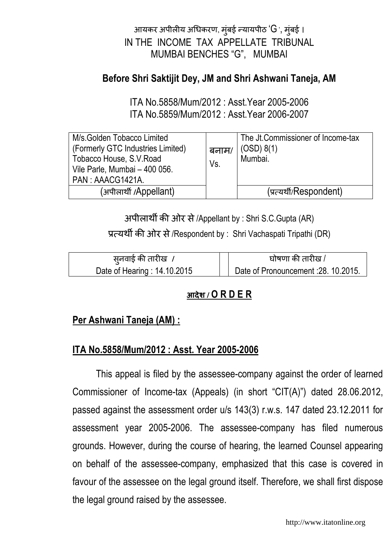# आयकर अपीलीय अधिकरण, मुंबई न्यायपीठ 'G ', मुंबई । IN THE INCOME TAX APPELLATE TRIBUNAL MUMBAI BENCHES "G", MUMBAI

## Before Shri Saktijit Dey, JM and Shri Ashwani Taneja, AM

ITA No.5858/Mum/2012 : Asst.Year 2005-2006 ITA No.5859/Mum/2012 : Asst.Year 2006-2007

| M/s. Golden Tobacco Limited<br>(Formerly GTC Industries Limited)<br>Tobacco House, S.V. Road<br>Vile Parle, Mumbai - 400 056.<br>PAN: AAACG1421A. | बनाम/<br>Vs. | The Jt. Commissioner of Income-tax<br>(OSD) 8(1)<br>Mumbai. |
|---------------------------------------------------------------------------------------------------------------------------------------------------|--------------|-------------------------------------------------------------|
| (अपीलार्थी /Appellant)                                                                                                                            |              | (प्रत्यर्थी/Respondent)                                     |

अपीलार्थी की ओर से /Appellant by : Shri S.C.Gupta (AR)

प्रत्यर्थी की ओर से /Respondent by : Shri Vachaspati Tripathi (DR)

| स् <b>नवाई की तारीख</b> ,    | घोषणा की तारीख /                    |  |
|------------------------------|-------------------------------------|--|
| Date of Hearing : 14.10.2015 | Date of Pronouncement: 28. 10.2015. |  |

# आदेश **/** O R D E R

## Per Ashwani Taneja (AM) :

## ITA No.5858/Mum/2012 : Asst. Year 2005-2006

This appeal is filed by the assessee-company against the order of learned Commissioner of Income-tax (Appeals) (in short "CIT(A)") dated 28.06.2012, passed against the assessment order u/s 143(3) r.w.s. 147 dated 23.12.2011 for assessment year 2005-2006. The assessee-company has filed numerous grounds. However, during the course of hearing, the learned Counsel appearing on behalf of the assessee-company, emphasized that this case is covered in favour of the assessee on the legal ground itself. Therefore, we shall first dispose the legal ground raised by the assessee.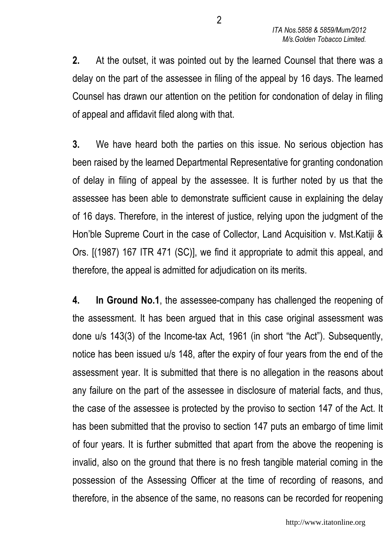2. At the outset, it was pointed out by the learned Counsel that there was a delay on the part of the assessee in filing of the appeal by 16 days. The learned Counsel has drawn our attention on the petition for condonation of delay in filing of appeal and affidavit filed along with that.

3. We have heard both the parties on this issue. No serious objection has been raised by the learned Departmental Representative for granting condonation of delay in filing of appeal by the assessee. It is further noted by us that the assessee has been able to demonstrate sufficient cause in explaining the delay of 16 days. Therefore, in the interest of justice, relying upon the judgment of the Hon'ble Supreme Court in the case of Collector, Land Acquisition v. Mst.Katiji & Ors. [(1987) 167 ITR 471 (SC)], we find it appropriate to admit this appeal, and therefore, the appeal is admitted for adjudication on its merits.

4. In Ground No.1, the assessee-company has challenged the reopening of the assessment. It has been argued that in this case original assessment was done u/s 143(3) of the Income-tax Act, 1961 (in short "the Act"). Subsequently, notice has been issued u/s 148, after the expiry of four years from the end of the assessment year. It is submitted that there is no allegation in the reasons about any failure on the part of the assessee in disclosure of material facts, and thus, the case of the assessee is protected by the proviso to section 147 of the Act. It has been submitted that the proviso to section 147 puts an embargo of time limit of four years. It is further submitted that apart from the above the reopening is invalid, also on the ground that there is no fresh tangible material coming in the possession of the Assessing Officer at the time of recording of reasons, and therefore, in the absence of the same, no reasons can be recorded for reopening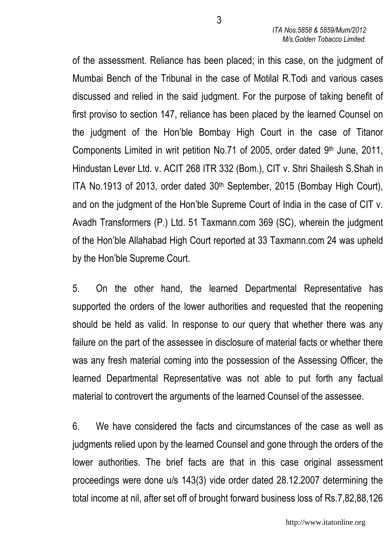of the assessment. Reliance has been placed; in this case, on the judgment of Mumbai Bench of the Tribunal in the case of Motilal R.Todi and various cases discussed and relied in the said judgment. For the purpose of taking benefit of first proviso to section 147, reliance has been placed by the learned Counsel on the judgment of the Hon'ble Bombay High Court in the case of Titanor Components Limited in writ petition No.71 of 2005, order dated 9th June, 2011, Hindustan Lever Ltd. v. ACIT 268 ITR 332 (Bom.), CIT v. Shri Shailesh S.Shah in ITA No.1913 of 2013, order dated 30th September, 2015 (Bombay High Court), and on the judgment of the Hon'ble Supreme Court of India in the case of CIT v. Avadh Transformers (P.) Ltd. 51 Taxmann.com 369 (SC), wherein the judgment of the Hon'ble Allahabad High Court reported at 33 Taxmann.com 24 was upheld by the Hon'ble Supreme Court.

5. On the other hand, the learned Departmental Representative has supported the orders of the lower authorities and requested that the reopening should be held as valid. In response to our query that whether there was any failure on the part of the assessee in disclosure of material facts or whether there was any fresh material coming into the possession of the Assessing Officer, the learned Departmental Representative was not able to put forth any factual material to controvert the arguments of the learned Counsel of the assessee.

6. We have considered the facts and circumstances of the case as well as judgments relied upon by the learned Counsel and gone through the orders of the lower authorities. The brief facts are that in this case original assessment proceedings were done u/s 143(3) vide order dated 28.12.2007 determining the total income at nil, after set off of brought forward business loss of Rs.7,82,88,126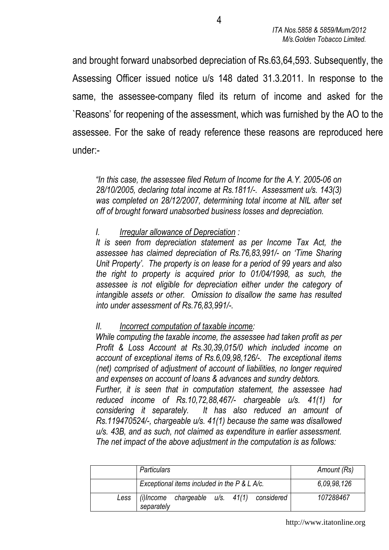and brought forward unabsorbed depreciation of Rs.63,64,593. Subsequently, the Assessing Officer issued notice u/s 148 dated 31.3.2011. In response to the same, the assessee-company filed its return of income and asked for the `Reasons' for reopening of the assessment, which was furnished by the AO to the assessee. For the sake of ready reference these reasons are reproduced here under:-

"In this case, the assessee filed Return of Income for the A.Y. 2005-06 on 28/10/2005, declaring total income at Rs.1811/-. Assessment u/s. 143(3) was completed on 28/12/2007, determining total income at NIL after set off of brought forward unabsorbed business losses and depreciation.

#### I. Irregular allowance of Depreciation :

It is seen from depreciation statement as per Income Tax Act, the assessee has claimed depreciation of Rs.76,83,991/- on 'Time Sharing Unit Property'. The property is on lease for a period of 99 years and also the right to property is acquired prior to 01/04/1998, as such, the assessee is not eligible for depreciation either under the category of intangible assets or other. Omission to disallow the same has resulted into under assessment of Rs.76,83,991/-.

#### II. Incorrect computation of taxable income:

While computing the taxable income, the assessee had taken profit as per Profit & Loss Account at Rs.30,39,015/0 which included income on account of exceptional items of Rs.6,09,98,126/-. The exceptional items (net) comprised of adjustment of account of liabilities, no longer required and expenses on account of loans & advances and sundry debtors. Further, it is seen that in computation statement, the assessee had reduced income of Rs.10,72,88,467/- chargeable u/s. 41(1) for

considering it separately. It has also reduced an amount of Rs.119470524/-, chargeable u/s. 41(1) because the same was disallowed u/s. 43B, and as such, not claimed as expenditure in earlier assessment. The net impact of the above adjustment in the computation is as follows:

| <b>Particulars</b>                                                   | Amount (Rs) |
|----------------------------------------------------------------------|-------------|
| Exceptional items included in the P & L A/c.                         | 6,09,98,126 |
| Less $ $ (i)lncome chargeable $u/s$ . 41(1) considered<br>separately | 107288467   |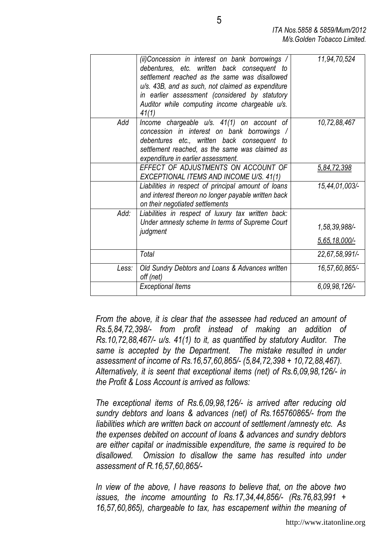|       | (ii)Concession in interest on bank borrowings /<br>debentures, etc. written back consequent to<br>settlement reached as the same was disallowed<br>u/s. 43B, and as such, not claimed as expenditure<br>in earlier assessment (considered by statutory<br>Auditor while computing income chargeable u/s.<br>41(1) | 11,94,70,524                      |
|-------|-------------------------------------------------------------------------------------------------------------------------------------------------------------------------------------------------------------------------------------------------------------------------------------------------------------------|-----------------------------------|
| Add   | Income chargeable u/s. 41(1) on account of<br>concession in interest on bank borrowings /<br>debentures etc., written back consequent to<br>settlement reached, as the same was claimed as<br>expenditure in earlier assessment.                                                                                  | 10,72,88,467                      |
|       | EFFECT OF ADJUSTMENTS ON ACCOUNT OF<br>EXCEPTIONAL ITEMS AND INCOME U/S. 41(1)                                                                                                                                                                                                                                    | 5.84.72.398                       |
|       | Liabilities in respect of principal amount of loans<br>and interest thereon no longer payable written back<br>on their negotiated settlements                                                                                                                                                                     | 15,44,01,003/-                    |
| Add:  | Liabilities in respect of luxury tax written back:<br>Under amnesty scheme In terms of Supreme Court<br>judgment                                                                                                                                                                                                  | 1,58,39,988/-<br>$5,65,18,000/$ - |
|       | Total                                                                                                                                                                                                                                                                                                             | 22,67,58,991/-                    |
| Less: | Old Sundry Debtors and Loans & Advances written<br>off (net)                                                                                                                                                                                                                                                      | 16,57,60,865/-                    |
|       | <b>Exceptional Items</b>                                                                                                                                                                                                                                                                                          | 6,09,98,126/-                     |

From the above, it is clear that the assessee had reduced an amount of Rs.5,84,72,398/- from profit instead of making an addition of Rs.10,72,88,467/- u/s. 41(1) to it, as quantified by statutory Auditor. The same is accepted by the Department. The mistake resulted in under assessment of income of Rs.16,57,60,865/- (5,84,72,398 + 10,72,88,467). Alternatively, it is seent that exceptional items (net) of Rs.6,09,98,126/- in the Profit & Loss Account is arrived as follows:

The exceptional items of Rs.6,09,98,126/- is arrived after reducing old sundry debtors and loans & advances (net) of Rs.165760865/- from the liabilities which are written back on account of settlement /amnesty etc. As the expenses debited on account of loans & advances and sundry debtors are either capital or inadmissible expenditure, the same is required to be disallowed. Omission to disallow the same has resulted into under assessment of R.16,57,60,865/-

In view of the above, I have reasons to believe that, on the above two issues, the income amounting to Rs.17,34,44,856/- (Rs.76,83,991 + 16,57,60,865), chargeable to tax, has escapement within the meaning of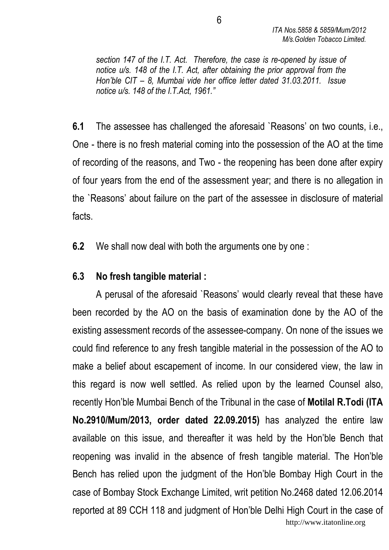section 147 of the I.T. Act. Therefore, the case is re-opened by issue of notice u/s. 148 of the I.T. Act, after obtaining the prior approval from the Hon'ble CIT – 8, Mumbai vide her office letter dated 31.03.2011. Issue notice u/s. 148 of the I.T.Act, 1961."

6.1 The assessee has challenged the aforesaid `Reasons' on two counts, i.e., One - there is no fresh material coming into the possession of the AO at the time of recording of the reasons, and Two - the reopening has been done after expiry of four years from the end of the assessment year; and there is no allegation in the `Reasons' about failure on the part of the assessee in disclosure of material facts.

6.2 We shall now deal with both the arguments one by one :

### 6.3 No fresh tangible material :

 A perusal of the aforesaid `Reasons' would clearly reveal that these have been recorded by the AO on the basis of examination done by the AO of the existing assessment records of the assessee-company. On none of the issues we could find reference to any fresh tangible material in the possession of the AO to make a belief about escapement of income. In our considered view, the law in this regard is now well settled. As relied upon by the learned Counsel also, recently Hon'ble Mumbai Bench of the Tribunal in the case of Motilal R.Todi (ITA No.2910/Mum/2013, order dated 22.09.2015) has analyzed the entire law available on this issue, and thereafter it was held by the Hon'ble Bench that reopening was invalid in the absence of fresh tangible material. The Hon'ble Bench has relied upon the judgment of the Hon'ble Bombay High Court in the case of Bombay Stock Exchange Limited, writ petition No.2468 dated 12.06.2014 reported at 89 CCH 118 and judgment of Hon'ble Delhi High Court in the case of http://www.itatonline.org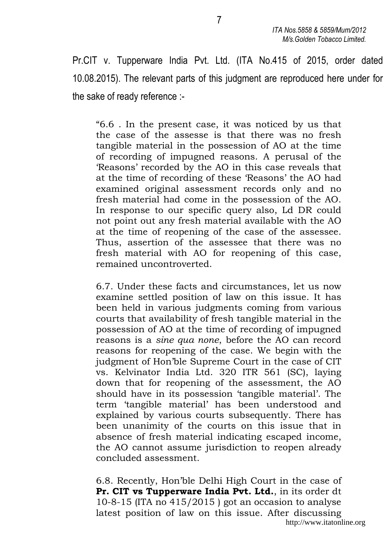Pr.CIT v. Tupperware India Pvt. Ltd. (ITA No.415 of 2015, order dated 10.08.2015). The relevant parts of this judgment are reproduced here under for the sake of ready reference :-

"6.6 . In the present case, it was noticed by us that the case of the assesse is that there was no fresh tangible material in the possession of AO at the time of recording of impugned reasons. A perusal of the 'Reasons' recorded by the AO in this case reveals that at the time of recording of these 'Reasons' the AO had examined original assessment records only and no fresh material had come in the possession of the AO. In response to our specific query also, Ld DR could not point out any fresh material available with the AO at the time of reopening of the case of the assessee. Thus, assertion of the assessee that there was no fresh material with AO for reopening of this case, remained uncontroverted.

6.7. Under these facts and circumstances, let us now examine settled position of law on this issue. It has been held in various judgments coming from various courts that availability of fresh tangible material in the possession of AO at the time of recording of impugned reasons is a sine qua none, before the AO can record reasons for reopening of the case. We begin with the judgment of Hon'ble Supreme Court in the case of CIT vs. Kelvinator India Ltd. 320 ITR 561 (SC), laying down that for reopening of the assessment, the AO should have in its possession 'tangible material'. The term 'tangible material' has been understood and explained by various courts subsequently. There has been unanimity of the courts on this issue that in absence of fresh material indicating escaped income, the AO cannot assume jurisdiction to reopen already concluded assessment.

6.8. Recently, Hon'ble Delhi High Court in the case of Pr. CIT vs Tupperware India Pvt. Ltd., in its order dt 10-8-15 (ITA no 415/2015 ) got an occasion to analyse latest position of law on this issue. After discussing http://www.itatonline.org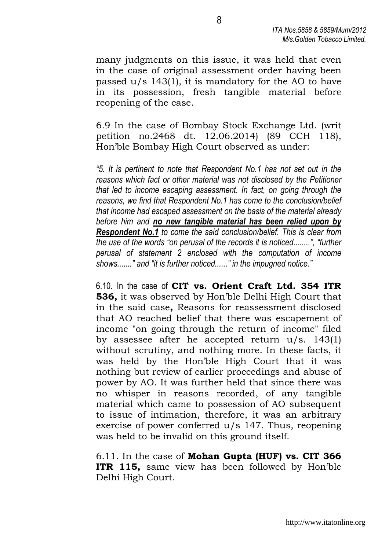many judgments on this issue, it was held that even in the case of original assessment order having been passed u/s 143(1), it is mandatory for the AO to have in its possession, fresh tangible material before reopening of the case.

6.9 In the case of Bombay Stock Exchange Ltd. (writ petition no.2468 dt. 12.06.2014) (89 CCH 118), Hon'ble Bombay High Court observed as under:

"5. It is pertinent to note that Respondent No.1 has not set out in the reasons which fact or other material was not disclosed by the Petitioner that led to income escaping assessment. In fact, on going through the reasons, we find that Respondent No.1 has come to the conclusion/belief that income had escaped assessment on the basis of the material already before him and no new tangible material has been relied upon by **Respondent No.1** to come the said conclusion/belief. This is clear from the use of the words "on perusal of the records it is noticed........", "further perusal of statement 2 enclosed with the computation of income shows......." and "it is further noticed......" in the impugned notice."

6.10. In the case of CIT vs. Orient Craft Ltd. 354 ITR 536, it was observed by Hon'ble Delhi High Court that in the said case, Reasons for reassessment disclosed that AO reached belief that there was escapement of income "on going through the return of income" filed by assessee after he accepted return u/s. 143(1) without scrutiny, and nothing more. In these facts, it was held by the Hon'ble High Court that it was nothing but review of earlier proceedings and abuse of power by AO. It was further held that since there was no whisper in reasons recorded, of any tangible material which came to possession of AO subsequent to issue of intimation, therefore, it was an arbitrary exercise of power conferred u/s 147. Thus, reopening was held to be invalid on this ground itself.

 $6.11$ . In the case of **Mohan Gupta (HUF) vs. CIT 366** ITR 115, same view has been followed by Hon'ble Delhi High Court.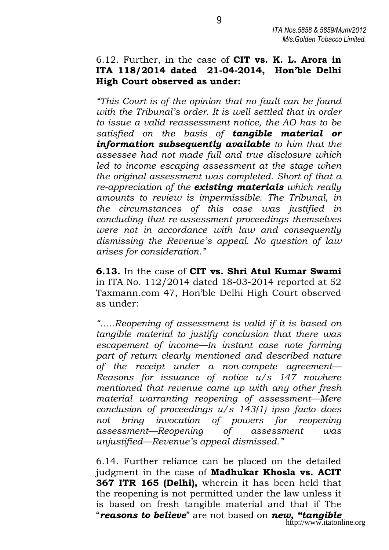#### 6.12. Further, in the case of  $CIT$  vs. K. L. Arora in ITA 118/2014 dated 21-04-2014, Hon'ble Delhi High Court observed as under:

 "This Court is of the opinion that no fault can be found with the Tribunal's order. It is well settled that in order to issue a valid reassessment notice, the AO has to be satisfied on the basis of tangible material or information subsequently available to him that the assessee had not made full and true disclosure which led to income escaping assessment at the stage when the original assessment was completed. Short of that a re-appreciation of the **existing materials** which really amounts to review is impermissible. The Tribunal, in the circumstances of this case was justified in concluding that re-assessment proceedings themselves were not in accordance with law and consequently dismissing the Revenue's appeal. No question of law arises for consideration."

6.13. In the case of CIT vs. Shri Atul Kumar Swami in ITA No. 112/2014 dated 18-03-2014 reported at 52 Taxmann.com 47, Hon'ble Delhi High Court observed as under:

"…..Reopening of assessment is valid if it is based on tangible material to justify conclusion that there was escapement of income—In instant case note forming part of return clearly mentioned and described nature of the receipt under a non-compete agreement— Reasons for issuance of notice u/s 147 nowhere mentioned that revenue came up with any other fresh material warranting reopening of assessment—Mere conclusion of proceedings  $u/s$  143(1) ipso facto does not bring invocation of powers for reopening assessment—Reopening of assessment was unjustified—Revenue's appeal dismissed."

6.14. Further reliance can be placed on the detailed judgment in the case of **Madhukar Khosla vs. ACIT** 367 ITR 165 (Delhi), wherein it has been held that the reopening is not permitted under the law unless it is based on fresh tangible material and that if The "**reasons to believe**" are not based on **new, "tangible** http://www.itatonline.org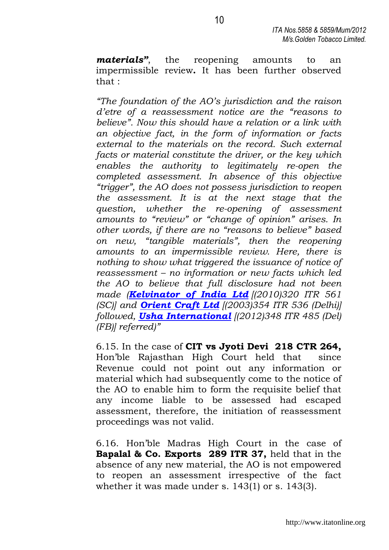**materials**", the reopening amounts to an impermissible review. It has been further observed that :

"The foundation of the AO's jurisdiction and the raison d'etre of a reassessment notice are the "reasons to believe". Now this should have a relation or a link with an objective fact, in the form of information or facts external to the materials on the record. Such external facts or material constitute the driver, or the key which enables the authority to legitimately re-open the completed assessment. In absence of this objective "trigger", the AO does not possess jurisdiction to reopen the assessment. It is at the next stage that the question, whether the re-opening of assessment amounts to "review" or "change of opinion" arises. In other words, if there are no "reasons to believe" based on new, "tangible materials", then the reopening amounts to an impermissible review. Here, there is nothing to show what triggered the issuance of notice of reassessment – no information or new facts which led the AO to believe that full disclosure had not been made (Kelvinator of India Ltd ((2010)320 ITR 561  $|SC|$  and **Orient Craft Ltd**  $|2003|354$  ITR 536 (Delhi) followed, **Usha International**  $(2012)348$  ITR 485 (Del)  $(FB)$ ] referred)"

 6.15. In the case of CIT vs Jyoti Devi 218 CTR 264, Hon'ble Rajasthan High Court held that since Revenue could not point out any information or material which had subsequently come to the notice of the AO to enable him to form the requisite belief that any income liable to be assessed had escaped assessment, therefore, the initiation of reassessment proceedings was not valid.

 6.16. Hon'ble Madras High Court in the case of Bapalal & Co. Exports 289 ITR 37, held that in the absence of any new material, the AO is not empowered to reopen an assessment irrespective of the fact whether it was made under s. 143(1) or s. 143(3).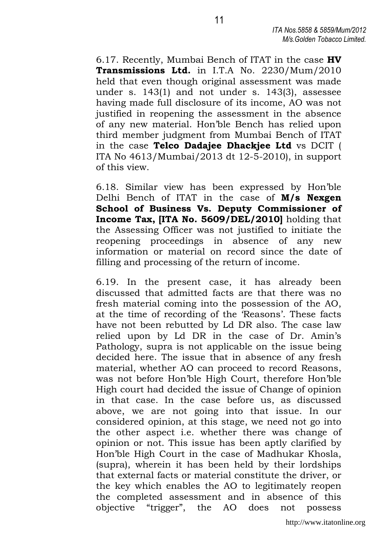6.17. Recently, Mumbai Bench of ITAT in the case HV Transmissions Ltd. in I.T.A No. 2230/Mum/2010 held that even though original assessment was made under s. 143(1) and not under s. 143(3), assessee having made full disclosure of its income, AO was not justified in reopening the assessment in the absence of any new material. Hon'ble Bench has relied upon third member judgment from Mumbai Bench of ITAT in the case Telco Dadajee Dhackjee Ltd vs DCIT ( ITA No 4613/Mumbai/2013 dt 12-5-2010), in support of this view.

6.18. Similar view has been expressed by Hon'ble Delhi Bench of ITAT in the case of **M/s Nexgen** School of Business Vs. Deputy Commissioner of Income Tax, [ITA No. 5609/DEL/2010] holding that the Assessing Officer was not justified to initiate the reopening proceedings in absence of any new information or material on record since the date of filling and processing of the return of income.

6.19. In the present case, it has already been discussed that admitted facts are that there was no fresh material coming into the possession of the AO, at the time of recording of the 'Reasons'. These facts have not been rebutted by Ld DR also. The case law relied upon by Ld DR in the case of Dr. Amin's Pathology, supra is not applicable on the issue being decided here. The issue that in absence of any fresh material, whether AO can proceed to record Reasons, was not before Hon'ble High Court, therefore Hon'ble High court had decided the issue of Change of opinion in that case. In the case before us, as discussed above, we are not going into that issue. In our considered opinion, at this stage, we need not go into the other aspect i.e. whether there was change of opinion or not. This issue has been aptly clarified by Hon'ble High Court in the case of Madhukar Khosla, (supra), wherein it has been held by their lordships that external facts or material constitute the driver, or the key which enables the AO to legitimately reopen the completed assessment and in absence of this objective "trigger", the AO does not possess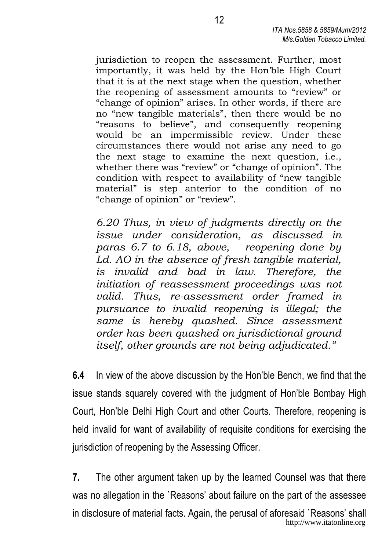jurisdiction to reopen the assessment. Further, most importantly, it was held by the Hon'ble High Court that it is at the next stage when the question, whether the reopening of assessment amounts to "review" or "change of opinion" arises. In other words, if there are no "new tangible materials", then there would be no "reasons to believe", and consequently reopening would be an impermissible review. Under these circumstances there would not arise any need to go the next stage to examine the next question, i.e., whether there was "review" or "change of opinion". The condition with respect to availability of "new tangible material" is step anterior to the condition of no "change of opinion" or "review".

6.20 Thus, in view of judgments directly on the issue under consideration, as discussed in paras 6.7 to 6.18, above, reopening done by Ld. AO in the absence of fresh tangible material, is invalid and bad in law. Therefore, the initiation of reassessment proceedings was not valid. Thus, re-assessment order framed in pursuance to invalid reopening is illegal; the same is hereby quashed. Since assessment order has been quashed on jurisdictional ground itself, other grounds are not being adjudicated."

6.4 In view of the above discussion by the Hon'ble Bench, we find that the issue stands squarely covered with the judgment of Hon'ble Bombay High Court, Hon'ble Delhi High Court and other Courts. Therefore, reopening is held invalid for want of availability of requisite conditions for exercising the jurisdiction of reopening by the Assessing Officer.

7. The other argument taken up by the learned Counsel was that there was no allegation in the `Reasons' about failure on the part of the assessee in disclosure of material facts. Again, the perusal of aforesaid `Reasons' shall http://www.itatonline.org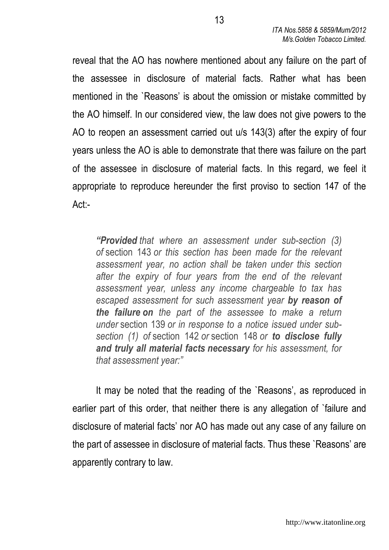reveal that the AO has nowhere mentioned about any failure on the part of the assessee in disclosure of material facts. Rather what has been mentioned in the `Reasons' is about the omission or mistake committed by the AO himself. In our considered view, the law does not give powers to the AO to reopen an assessment carried out u/s 143(3) after the expiry of four years unless the AO is able to demonstrate that there was failure on the part of the assessee in disclosure of material facts. In this regard, we feel it appropriate to reproduce hereunder the first proviso to section 147 of the Act:-

"Provided that where an assessment under sub-section (3) of section 143 or this section has been made for the relevant assessment year, no action shall be taken under this section after the expiry of four years from the end of the relevant assessment year, unless any income chargeable to tax has escaped assessment for such assessment year by reason of the failure on the part of the assessee to make a return under section 139 or in response to a notice issued under subsection (1) of section 142 or section 148 or to disclose fully and truly all material facts necessary for his assessment, for that assessment year:"

 It may be noted that the reading of the `Reasons', as reproduced in earlier part of this order, that neither there is any allegation of `failure and disclosure of material facts' nor AO has made out any case of any failure on the part of assessee in disclosure of material facts. Thus these `Reasons' are apparently contrary to law.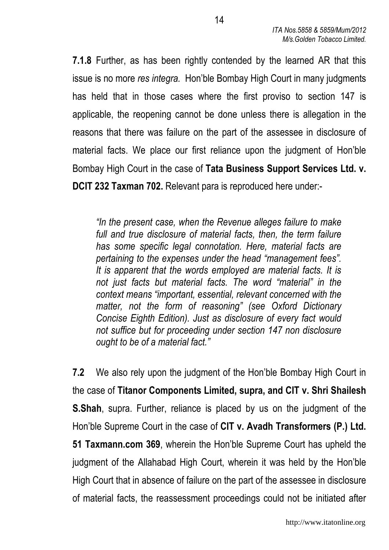7.1.8 Further, as has been rightly contended by the learned AR that this issue is no more res integra. Hon'ble Bombay High Court in many judgments has held that in those cases where the first proviso to section 147 is applicable, the reopening cannot be done unless there is allegation in the reasons that there was failure on the part of the assessee in disclosure of material facts. We place our first reliance upon the judgment of Hon'ble Bombay High Court in the case of Tata Business Support Services Ltd. v. DCIT 232 Taxman 702. Relevant para is reproduced here under:-

"In the present case, when the Revenue alleges failure to make full and true disclosure of material facts, then, the term failure has some specific legal connotation. Here, material facts are pertaining to the expenses under the head "management fees". It is apparent that the words employed are material facts. It is not just facts but material facts. The word "material" in the context means "important, essential, relevant concerned with the matter, not the form of reasoning" (see Oxford Dictionary Concise Eighth Edition). Just as disclosure of every fact would not suffice but for proceeding under section 147 non disclosure ought to be of a material fact."

7.2 We also rely upon the judgment of the Hon'ble Bombay High Court in the case of Titanor Components Limited, supra, and CIT v. Shri Shailesh S.Shah, supra. Further, reliance is placed by us on the judgment of the Hon'ble Supreme Court in the case of CIT v. Avadh Transformers (P.) Ltd. 51 Taxmann.com 369, wherein the Hon'ble Supreme Court has upheld the judgment of the Allahabad High Court, wherein it was held by the Hon'ble High Court that in absence of failure on the part of the assessee in disclosure of material facts, the reassessment proceedings could not be initiated after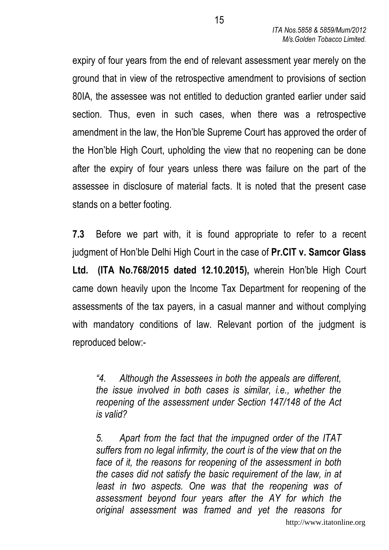expiry of four years from the end of relevant assessment year merely on the ground that in view of the retrospective amendment to provisions of section 80IA, the assessee was not entitled to deduction granted earlier under said section. Thus, even in such cases, when there was a retrospective amendment in the law, the Hon'ble Supreme Court has approved the order of the Hon'ble High Court, upholding the view that no reopening can be done after the expiry of four years unless there was failure on the part of the assessee in disclosure of material facts. It is noted that the present case stands on a better footing.

7.3 Before we part with, it is found appropriate to refer to a recent judgment of Hon'ble Delhi High Court in the case of Pr.CIT v. Samcor Glass Ltd. (ITA No.768/2015 dated 12.10.2015), wherein Hon'ble High Court came down heavily upon the Income Tax Department for reopening of the assessments of the tax payers, in a casual manner and without complying with mandatory conditions of law. Relevant portion of the judgment is reproduced below:-

"4. Although the Assessees in both the appeals are different, the issue involved in both cases is similar, i.e., whether the reopening of the assessment under Section 147/148 of the Act is valid?

 5. Apart from the fact that the impugned order of the ITAT suffers from no legal infirmity, the court is of the view that on the face of it, the reasons for reopening of the assessment in both the cases did not satisfy the basic requirement of the law, in at least in two aspects. One was that the reopening was of assessment beyond four years after the AY for which the original assessment was framed and yet the reasons for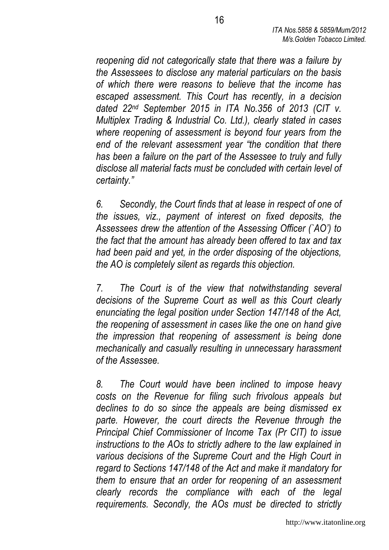reopening did not categorically state that there was a failure by the Assessees to disclose any material particulars on the basis of which there were reasons to believe that the income has escaped assessment. This Court has recently, in a decision dated 22nd September 2015 in ITA No.356 of 2013 (CIT v. Multiplex Trading & Industrial Co. Ltd.), clearly stated in cases where reopening of assessment is beyond four years from the end of the relevant assessment year "the condition that there has been a failure on the part of the Assessee to truly and fully disclose all material facts must be concluded with certain level of certainty."

 6. Secondly, the Court finds that at lease in respect of one of the issues, viz., payment of interest on fixed deposits, the Assessees drew the attention of the Assessing Officer (`AO') to the fact that the amount has already been offered to tax and tax had been paid and yet, in the order disposing of the objections, the AO is completely silent as regards this objection.

 7. The Court is of the view that notwithstanding several decisions of the Supreme Court as well as this Court clearly enunciating the legal position under Section 147/148 of the Act, the reopening of assessment in cases like the one on hand give the impression that reopening of assessment is being done mechanically and casually resulting in unnecessary harassment of the Assessee.

 8. The Court would have been inclined to impose heavy costs on the Revenue for filing such frivolous appeals but declines to do so since the appeals are being dismissed ex parte. However, the court directs the Revenue through the Principal Chief Commissioner of Income Tax (Pr CIT) to issue instructions to the AOs to strictly adhere to the law explained in various decisions of the Supreme Court and the High Court in regard to Sections 147/148 of the Act and make it mandatory for them to ensure that an order for reopening of an assessment clearly records the compliance with each of the legal requirements. Secondly, the AOs must be directed to strictly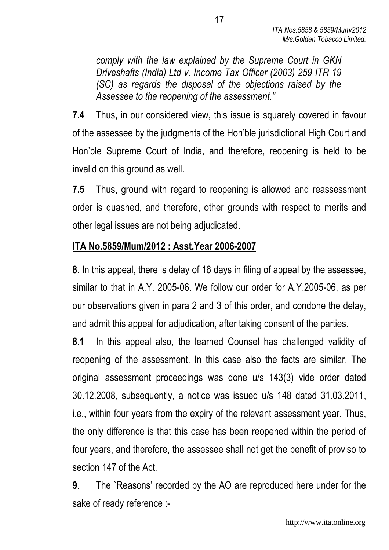comply with the law explained by the Supreme Court in GKN Driveshafts (India) Ltd v. Income Tax Officer (2003) 259 ITR 19 (SC) as regards the disposal of the objections raised by the Assessee to the reopening of the assessment."

7.4 Thus, in our considered view, this issue is squarely covered in favour of the assessee by the judgments of the Hon'ble jurisdictional High Court and Hon'ble Supreme Court of India, and therefore, reopening is held to be invalid on this ground as well.

7.5 Thus, ground with regard to reopening is allowed and reassessment order is quashed, and therefore, other grounds with respect to merits and other legal issues are not being adjudicated.

### ITA No.5859/Mum/2012 : Asst.Year 2006-2007

8. In this appeal, there is delay of 16 days in filing of appeal by the assessee, similar to that in A.Y. 2005-06. We follow our order for A.Y.2005-06, as per our observations given in para 2 and 3 of this order, and condone the delay, and admit this appeal for adjudication, after taking consent of the parties.

8.1 In this appeal also, the learned Counsel has challenged validity of reopening of the assessment. In this case also the facts are similar. The original assessment proceedings was done u/s 143(3) vide order dated 30.12.2008, subsequently, a notice was issued u/s 148 dated 31.03.2011, i.e., within four years from the expiry of the relevant assessment year. Thus, the only difference is that this case has been reopened within the period of four years, and therefore, the assessee shall not get the benefit of proviso to section 147 of the Act.

9. The `Reasons' recorded by the AO are reproduced here under for the sake of ready reference :-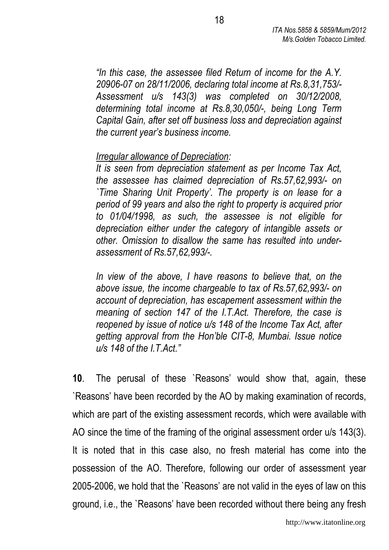"In this case, the assessee filed Return of income for the A.Y. 20906-07 on 28/11/2006, declaring total income at Rs.8,31,753/- Assessment u/s 143(3) was completed on 30/12/2008, determining total income at Rs.8,30,050/-, being Long Term Capital Gain, after set off business loss and depreciation against the current year's business income.

### Irregular allowance of Depreciation:

 It is seen from depreciation statement as per Income Tax Act, the assessee has claimed depreciation of Rs.57,62,993/- on `Time Sharing Unit Property'. The property is on lease for a period of 99 years and also the right to property is acquired prior to 01/04/1998, as such, the assessee is not eligible for depreciation either under the category of intangible assets or other. Omission to disallow the same has resulted into underassessment of Rs.57,62,993/-.

 In view of the above, I have reasons to believe that, on the above issue, the income chargeable to tax of Rs.57,62,993/- on account of depreciation, has escapement assessment within the meaning of section 147 of the I.T.Act. Therefore, the case is reopened by issue of notice u/s 148 of the Income Tax Act, after getting approval from the Hon'ble CIT-8, Mumbai. Issue notice  $u/s$  148 of the  $ITAct."$ 

10. The perusal of these `Reasons' would show that, again, these `Reasons' have been recorded by the AO by making examination of records, which are part of the existing assessment records, which were available with AO since the time of the framing of the original assessment order u/s 143(3). It is noted that in this case also, no fresh material has come into the possession of the AO. Therefore, following our order of assessment year 2005-2006, we hold that the `Reasons' are not valid in the eyes of law on this ground, i.e., the `Reasons' have been recorded without there being any fresh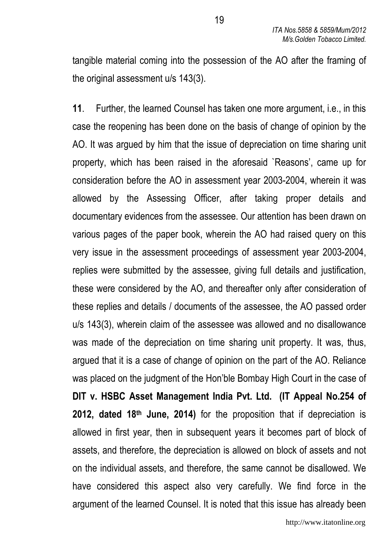tangible material coming into the possession of the AO after the framing of the original assessment u/s 143(3).

11. Further, the learned Counsel has taken one more argument, i.e., in this case the reopening has been done on the basis of change of opinion by the AO. It was argued by him that the issue of depreciation on time sharing unit property, which has been raised in the aforesaid `Reasons', came up for consideration before the AO in assessment year 2003-2004, wherein it was allowed by the Assessing Officer, after taking proper details and documentary evidences from the assessee. Our attention has been drawn on various pages of the paper book, wherein the AO had raised query on this very issue in the assessment proceedings of assessment year 2003-2004, replies were submitted by the assessee, giving full details and justification, these were considered by the AO, and thereafter only after consideration of these replies and details / documents of the assessee, the AO passed order u/s 143(3), wherein claim of the assessee was allowed and no disallowance was made of the depreciation on time sharing unit property. It was, thus, argued that it is a case of change of opinion on the part of the AO. Reliance was placed on the judgment of the Hon'ble Bombay High Court in the case of DIT v. HSBC Asset Management India Pvt. Ltd. (IT Appeal No.254 of 2012, dated 18th June, 2014) for the proposition that if depreciation is allowed in first year, then in subsequent years it becomes part of block of assets, and therefore, the depreciation is allowed on block of assets and not on the individual assets, and therefore, the same cannot be disallowed. We have considered this aspect also very carefully. We find force in the argument of the learned Counsel. It is noted that this issue has already been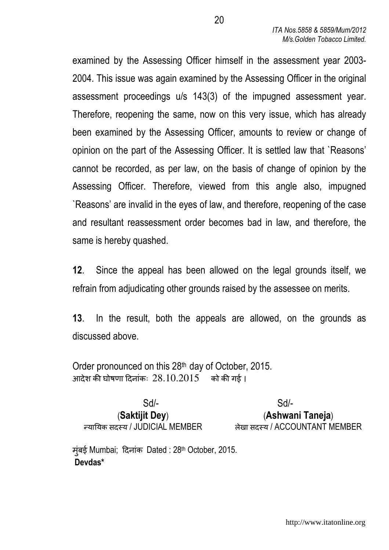examined by the Assessing Officer himself in the assessment year 2003- 2004. This issue was again examined by the Assessing Officer in the original assessment proceedings u/s 143(3) of the impugned assessment year. Therefore, reopening the same, now on this very issue, which has already been examined by the Assessing Officer, amounts to review or change of opinion on the part of the Assessing Officer. It is settled law that `Reasons' cannot be recorded, as per law, on the basis of change of opinion by the Assessing Officer. Therefore, viewed from this angle also, impugned `Reasons' are invalid in the eyes of law, and therefore, reopening of the case and resultant reassessment order becomes bad in law, and therefore, the same is hereby quashed.

12. Since the appeal has been allowed on the legal grounds itself, we refrain from adjudicating other grounds raised by the assessee on merits.

13. In the result, both the appeals are allowed, on the grounds as discussed above.

Order pronounced on this 28th day of October, 2015. आदेश की घोषणा दिनांकः  $28.10.2015$  को की गई ।

Sd/- Sd/-

(Saktijit Dey) (Ashwani Taneja) या\*यक सद+य / JUDICIAL MEMBER लेखा सद+य / ACCOUNTANT MEMBER

मुंबई Mumbai; 'दनांक Dated : 28th October, 2015. Devdas\*